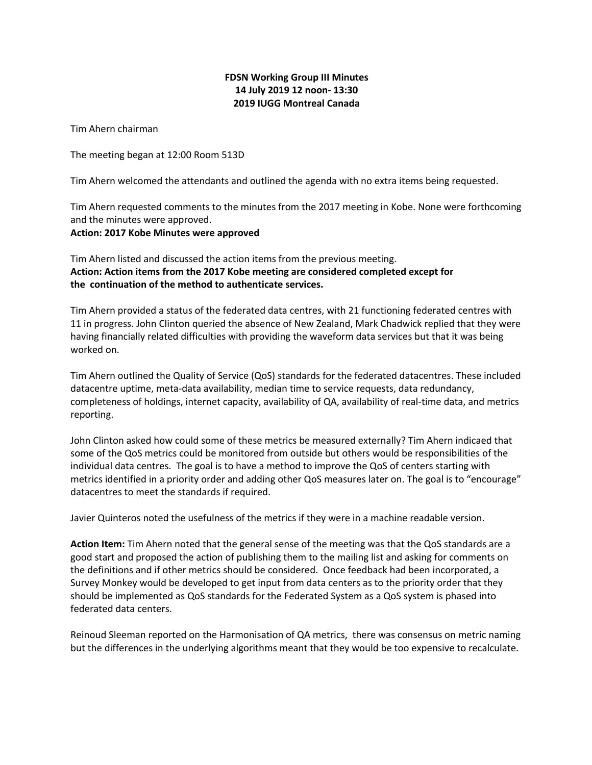## **FDSN Working Group III Minutes 14 July 2019 12 noon- 13:30 2019 IUGG Montreal Canada**

Tim Ahern chairman

The meeting began at 12:00 Room 513D

Tim Ahern welcomed the attendants and outlined the agenda with no extra items being requested.

Tim Ahern requested comments to the minutes from the 2017 meeting in Kobe. None were forthcoming and the minutes were approved.

## **Action: 2017 Kobe Minutes were approved**

Tim Ahern listed and discussed the action items from the previous meeting. **Action: Action items from the 2017 Kobe meeting are considered completed except for the continuation of the method to authenticate services.**

Tim Ahern provided a status of the federated data centres, with 21 functioning federated centres with 11 in progress. John Clinton queried the absence of New Zealand, Mark Chadwick replied that they were having financially related difficulties with providing the waveform data services but that it was being worked on.

Tim Ahern outlined the Quality of Service (QoS) standards for the federated datacentres. These included datacentre uptime, meta-data availability, median time to service requests, data redundancy, completeness of holdings, internet capacity, availability of QA, availability of real-time data, and metrics reporting.

John Clinton asked how could some of these metrics be measured externally? Tim Ahern indicaed that some of the QoS metrics could be monitored from outside but others would be responsibilities of the individual data centres. The goal is to have a method to improve the QoS of centers starting with metrics identified in a priority order and adding other QoS measures later on. The goal is to "encourage" datacentres to meet the standards if required.

Javier Quinteros noted the usefulness of the metrics if they were in a machine readable version.

**Action Item:** Tim Ahern noted that the general sense of the meeting was that the QoS standards are a good start and proposed the action of publishing them to the mailing list and asking for comments on the definitions and if other metrics should be considered. Once feedback had been incorporated, a Survey Monkey would be developed to get input from data centers as to the priority order that they should be implemented as QoS standards for the Federated System as a QoS system is phased into federated data centers.

Reinoud Sleeman reported on the Harmonisation of QA metrics, there was consensus on metric naming but the differences in the underlying algorithms meant that they would be too expensive to recalculate.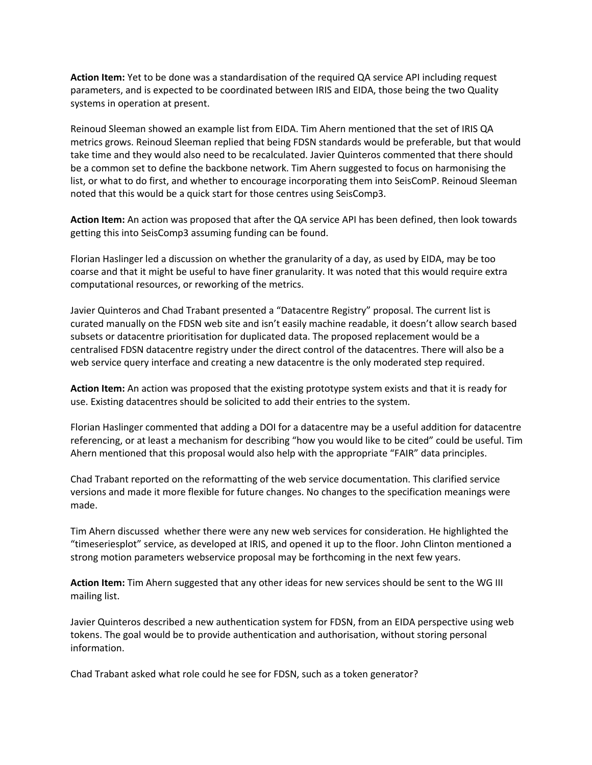**Action Item:** Yet to be done was a standardisation of the required QA service API including request parameters, and is expected to be coordinated between IRIS and EIDA, those being the two Quality systems in operation at present.

Reinoud Sleeman showed an example list from EIDA. Tim Ahern mentioned that the set of IRIS QA metrics grows. Reinoud Sleeman replied that being FDSN standards would be preferable, but that would take time and they would also need to be recalculated. Javier Quinteros commented that there should be a common set to define the backbone network. Tim Ahern suggested to focus on harmonising the list, or what to do first, and whether to encourage incorporating them into SeisComP. Reinoud Sleeman noted that this would be a quick start for those centres using SeisComp3.

**Action Item:** An action was proposed that after the QA service API has been defined, then look towards getting this into SeisComp3 assuming funding can be found.

Florian Haslinger led a discussion on whether the granularity of a day, as used by EIDA, may be too coarse and that it might be useful to have finer granularity. It was noted that this would require extra computational resources, or reworking of the metrics.

Javier Quinteros and Chad Trabant presented a "Datacentre Registry" proposal. The current list is curated manually on the FDSN web site and isn't easily machine readable, it doesn't allow search based subsets or datacentre prioritisation for duplicated data. The proposed replacement would be a centralised FDSN datacentre registry under the direct control of the datacentres. There will also be a web service query interface and creating a new datacentre is the only moderated step required.

**Action Item:** An action was proposed that the existing prototype system exists and that it is ready for use. Existing datacentres should be solicited to add their entries to the system.

Florian Haslinger commented that adding a DOI for a datacentre may be a useful addition for datacentre referencing, or at least a mechanism for describing "how you would like to be cited" could be useful. Tim Ahern mentioned that this proposal would also help with the appropriate "FAIR" data principles.

Chad Trabant reported on the reformatting of the web service documentation. This clarified service versions and made it more flexible for future changes. No changes to the specification meanings were made.

Tim Ahern discussed whether there were any new web services for consideration. He highlighted the "timeseriesplot" service, as developed at IRIS, and opened it up to the floor. John Clinton mentioned a strong motion parameters webservice proposal may be forthcoming in the next few years.

**Action Item:** Tim Ahern suggested that any other ideas for new services should be sent to the WG III mailing list.

Javier Quinteros described a new authentication system for FDSN, from an EIDA perspective using web tokens. The goal would be to provide authentication and authorisation, without storing personal information.

Chad Trabant asked what role could he see for FDSN, such as a token generator?